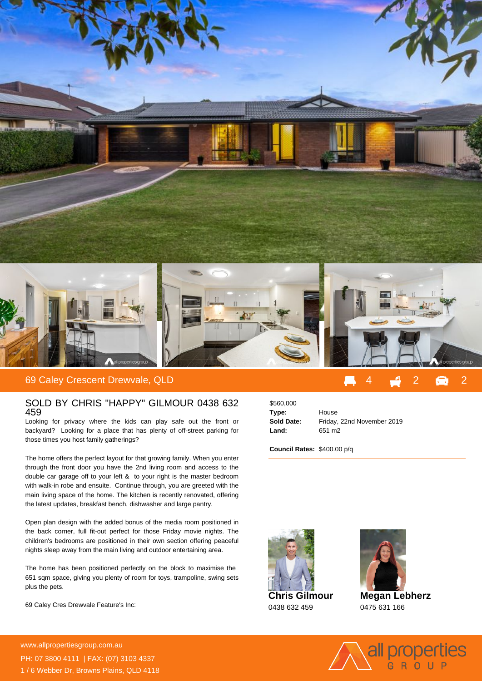

## SOLD BY CHRIS "HAPPY" GILMOUR 0438 632 459

Looking for privacy where the kids can play safe out the front or backyard? Looking for a place that has plenty of off-street parking for those times you host family gatherings?

The home offers the perfect layout for that growing family. When you enter through the front door you have the 2nd living room and access to the double car garage off to your left & to your right is the master bedroom with walk-in robe and ensuite. Continue through, you are greeted with the main living space of the home. The kitchen is recently renovated, offering the latest updates, breakfast bench, dishwasher and large pantry.

Open plan design with the added bonus of the media room positioned in the back corner, full fit-out perfect for those Friday movie nights. The children's bedrooms are positioned in their own section offering peaceful nights sleep away from the main living and outdoor entertaining area.

The home has been positioned perfectly on the block to maximise the 651 sqm space, giving you plenty of room for toys, trampoline, swing sets plus the pets.

69 Caley Cres Drewvale Feature's Inc:

\$560,000 **Type:** House **Sold Date:** Friday, 22nd November 2019 **Land:** 651 m2

**Council Rates:** \$400.00 p/q





**Megan Lebherz** 0475 631 166



**For more details please visit https://www.allpropertiesgroup.com.au/5560590** www.allpropertiesgroup.com.au PH: 07 3800 4111 | FAX: (07) 3103 4337 1 / 6 Webber Dr, Browns Plains, QLD 4118